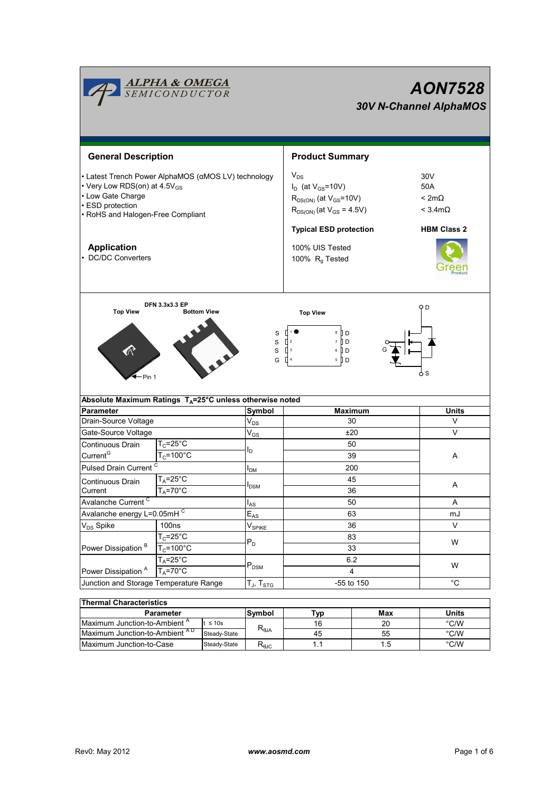|                                                                                                                                                                               | <b>ALPHA &amp; OMEGA</b><br>SEMICONDUCTOR      | <b>AON7528</b><br><b>30V N-Channel AlphaMOS</b> |                                                                                                                                                |                                                                       |              |  |  |
|-------------------------------------------------------------------------------------------------------------------------------------------------------------------------------|------------------------------------------------|-------------------------------------------------|------------------------------------------------------------------------------------------------------------------------------------------------|-----------------------------------------------------------------------|--------------|--|--|
| <b>General Description</b>                                                                                                                                                    |                                                |                                                 | <b>Product Summary</b>                                                                                                                         |                                                                       |              |  |  |
| • Latest Trench Power AlphaMOS (αMOS LV) technology<br>• Very Low RDS(on) at 4.5V <sub>GS</sub><br>• Low Gate Charge<br>• ESD protection<br>• RoHS and Halogen-Free Compliant |                                                |                                                 | $V_{DS}$<br>$I_D$ (at $V_{GS}$ =10V)<br>$R_{DS(ON)}$ (at $V_{GS}$ =10V)<br>$R_{DS(ON)}$ (at $V_{GS} = 4.5V$ )<br><b>Typical ESD protection</b> | 30V<br>50A<br>$< 2m\Omega$<br>$<$ 3.4m $\Omega$<br><b>HBM Class 2</b> |              |  |  |
| <b>Application</b><br>• DC/DC Converters                                                                                                                                      |                                                |                                                 | 100% UIS Tested<br>100% $R_g$ Tested                                                                                                           |                                                                       |              |  |  |
| <b>Top View</b><br><b>Bottom View</b><br>S<br>$\mathbf S$<br>$\, \mathscr{R} \,$<br>$\mathbf S$<br>G<br><b>←</b> Pin 1                                                        |                                                |                                                 | Q D<br><b>Top View</b><br>∏↑●<br>$8$ D<br>$\Box$<br>7 D D<br>$\prod$ 3<br>$6$ D<br>$\prod$ 4<br>5 D<br>o S                                     |                                                                       |              |  |  |
| Absolute Maximum Ratings $T_A = 25^\circ \text{C}$ unless otherwise noted                                                                                                     |                                                | Symbol                                          |                                                                                                                                                |                                                                       |              |  |  |
|                                                                                                                                                                               | <b>Parameter</b>                               |                                                 | <b>Maximum</b>                                                                                                                                 |                                                                       | <b>Units</b> |  |  |
| Drain-Source Voltage                                                                                                                                                          |                                                | $\mathsf{V}_{\mathsf{DS}}$                      | 30                                                                                                                                             |                                                                       | V<br>V       |  |  |
| Gate-Source Voltage<br>Continuous Drain<br>Current <sup>G</sup>                                                                                                               | $T_c = 25$ °C<br>$T_c = 100^{\circ}$ C         | $\mathsf{V}_{\mathsf{GS}}$<br>ı,                | ±20<br>50<br>39                                                                                                                                |                                                                       | Α            |  |  |
| Pulsed Drain Current <sup>C</sup>                                                                                                                                             |                                                | I <sub>DM</sub>                                 | 200                                                                                                                                            |                                                                       |              |  |  |
| Continuous Drain<br>Current                                                                                                                                                   | $T_A = 25$ °C<br>$T_A = 70^\circ \overline{C}$ | <b>I</b> <sub>DSM</sub>                         | 45<br>36                                                                                                                                       |                                                                       | Α            |  |  |
| Avalanche Current <sup>C</sup>                                                                                                                                                |                                                | $I_{AS}$                                        | 50                                                                                                                                             |                                                                       | Α            |  |  |
| Avalanche energy L=0.05mHC                                                                                                                                                    |                                                | $\mathsf{E}_{\mathsf{AS}}$                      | 63                                                                                                                                             |                                                                       | mJ           |  |  |
| V <sub>DS</sub> Spike                                                                                                                                                         | 100ns<br>$V_{\sf SPIKE}$                       |                                                 | 36                                                                                                                                             |                                                                       | V            |  |  |
| Power Dissipation <sup>B</sup>                                                                                                                                                | $T_c = 25^\circ C$<br>$T_c = 100^{\circ}$ C    | $P_D$                                           | 83<br>33                                                                                                                                       |                                                                       | W            |  |  |
| Power Dissipation <sup>A</sup>                                                                                                                                                | $T_A = 25^\circ C$<br>$T_A = 70^\circ C$       | $P_{DSM}$                                       | 6.2<br>4                                                                                                                                       |                                                                       | W            |  |  |
| Junction and Storage Temperature Range                                                                                                                                        |                                                | $T_J$ , $T_{STG}$                               | -55 to 150                                                                                                                                     |                                                                       | $^{\circ}C$  |  |  |
| <b>Thermal Characteristics</b><br><b>Parameter</b>                                                                                                                            |                                                | Symbol                                          | Typ                                                                                                                                            | Max                                                                   | <b>Units</b> |  |  |

| <b>Parameter</b>                         | <b>Svmbol</b> | ⊤үр                            | Max | Units |               |  |  |  |
|------------------------------------------|---------------|--------------------------------|-----|-------|---------------|--|--|--|
| Maximum Junction-to-Ambient <sup>"</sup> | $\leq 10s$    |                                |     | 20    | $\degree$ C/W |  |  |  |
| Maximum Junction-to-Ambient AD           | Steady-State  | $A\mathsf{L}\theta$            | 45  | 55    | $\degree$ C/W |  |  |  |
| Maximum Junction-to-Case                 | Steady-State  | $\mathsf{r}_{\theta\text{JC}}$ |     | . . 5 | $\degree$ C/W |  |  |  |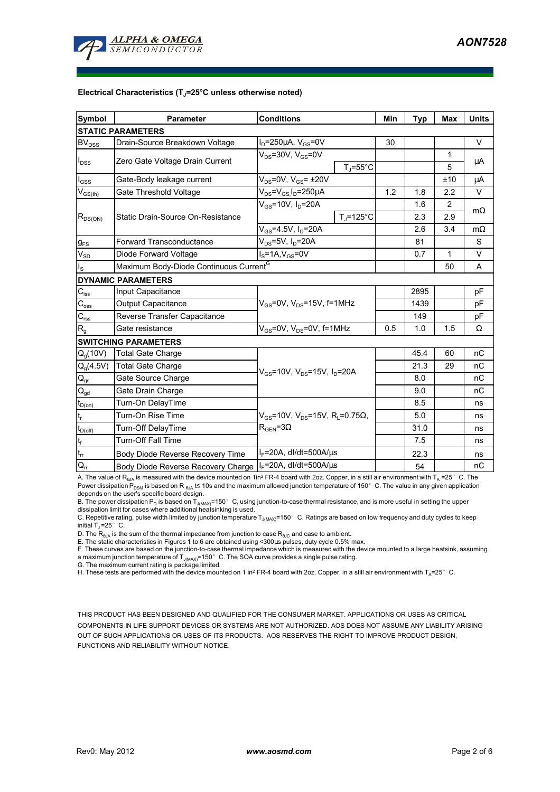

#### **Electrical Characteristics (TJ=25°C unless otherwise noted)**

| <b>Symbol</b>                                      | <b>Parameter</b>                                   | <b>Conditions</b>                                                                  |                    | Min | <b>Typ</b> | <b>Max</b>   | <b>Units</b> |  |  |
|----------------------------------------------------|----------------------------------------------------|------------------------------------------------------------------------------------|--------------------|-----|------------|--------------|--------------|--|--|
| <b>STATIC PARAMETERS</b>                           |                                                    |                                                                                    |                    |     |            |              |              |  |  |
| <b>BV<sub>DSS</sub></b>                            | Drain-Source Breakdown Voltage                     | $I_D = 250 \mu A$ , $V_{GS} = 0V$                                                  |                    | 30  |            |              | $\vee$       |  |  |
| $I_{DSS}$                                          | Zero Gate Voltage Drain Current                    | $V_{DS}$ =30V, $V_{GS}$ =0V                                                        | $T_{J}$ =55°C      |     |            | 1<br>5       | μA           |  |  |
| $I_{GSS}$                                          | Gate-Body leakage current                          | $V_{DS}$ =0V, $V_{GS}$ = ±20V                                                      |                    |     |            | ±10          | μA           |  |  |
| $\mathsf{V}_{\mathsf{GS}(\underbar{\mathsf{th}})}$ | Gate Threshold Voltage                             | $V_{DS} = V_{GS} I_D = 250 \mu A$                                                  |                    | 1.2 | 1.8        | 2.2          | $\vee$       |  |  |
| $R_{DS(ON)}$                                       | Static Drain-Source On-Resistance                  | $V_{GS}$ =10V, $I_D$ =20A                                                          |                    |     | 1.6        | $\mathbf{2}$ |              |  |  |
|                                                    |                                                    |                                                                                    | $T_{\rm J}$ =125°C |     | 2.3        | 2.9          | $m\Omega$    |  |  |
|                                                    |                                                    | $V_{GS}$ =4.5V, $I_D$ =20A                                                         |                    |     | 2.6        | 3.4          | $m\Omega$    |  |  |
| $g_{FS}$                                           | <b>Forward Transconductance</b>                    | $V_{DS}$ =5V, I <sub>D</sub> =20A                                                  |                    |     | 81         |              | S            |  |  |
| $V_{SD}$                                           | Diode Forward Voltage                              | $IS=1A, VGS=0V$                                                                    |                    |     | 0.7        | 1            | $\vee$       |  |  |
| $I_{\rm S}$                                        | Maximum Body-Diode Continuous Current <sup>G</sup> |                                                                                    |                    |     |            | 50           | A            |  |  |
|                                                    | <b>DYNAMIC PARAMETERS</b>                          |                                                                                    |                    |     |            |              |              |  |  |
| $C_{\text{iss}}$                                   | Input Capacitance                                  | $V_{GS}$ =0V, $V_{DS}$ =15V, f=1MHz                                                |                    |     | 2895       |              | pF           |  |  |
| $C_{\rm oss}$                                      | <b>Output Capacitance</b>                          |                                                                                    |                    |     | 1439       |              | pF           |  |  |
| $C_{\text{rss}}$                                   | Reverse Transfer Capacitance                       |                                                                                    |                    |     | 149        |              | pF           |  |  |
| $R_{q}$                                            | Gate resistance                                    | $V_{GS}$ =0V, $V_{DS}$ =0V, f=1MHz                                                 |                    | 0.5 | 1.0        | 1.5          | Ω            |  |  |
|                                                    | <b>SWITCHING PARAMETERS</b>                        |                                                                                    |                    |     |            |              |              |  |  |
| $Q_q(10V)$                                         | <b>Total Gate Charge</b>                           | $V_{GS}$ =10V, $V_{DS}$ =15V, $I_D$ =20A                                           |                    |     | 45.4       | 60           | nC           |  |  |
| $Q_g(4.5V)$                                        | <b>Total Gate Charge</b>                           |                                                                                    |                    |     | 21.3       | 29           | nC           |  |  |
| $Q_{gs}$                                           | Gate Source Charge                                 |                                                                                    |                    |     | 8.0        |              | nC           |  |  |
| $\mathsf{Q}_{\mathsf{gd}}$                         | Gate Drain Charge                                  |                                                                                    |                    |     | 9.0        |              | nC           |  |  |
| $t_{D(on)}$                                        | Turn-On DelayTime                                  | $V_{GS}$ =10V, $V_{DS}$ =15V, R <sub>i</sub> =0.75Ω,<br>$R_{\text{GEN}} = 3\Omega$ |                    |     | 8.5        |              | ns           |  |  |
| t,                                                 | Turn-On Rise Time                                  |                                                                                    |                    |     | 5.0        |              | ns           |  |  |
| $t_{D(off)}$                                       | Turn-Off DelayTime                                 |                                                                                    |                    |     | 31.0       |              | ns           |  |  |
| $\mathsf{t}_{\mathsf{f}}$                          | <b>Turn-Off Fall Time</b>                          |                                                                                    |                    |     | 7.5        |              | ns           |  |  |
| $t_{rr}$                                           | Body Diode Reverse Recovery Time                   | $I_F$ =20A, dl/dt=500A/ $\mu$ s                                                    |                    |     | 22.3       |              | ns           |  |  |
| $Q_{rr}$                                           | Body Diode Reverse Recovery Charge                 | $I_F$ =20A, dl/dt=500A/ $\mu$ s                                                    |                    |     | 54         |              | nC           |  |  |

A. The value of R<sub>θJA</sub> is measured with the device mounted on 1in<sup>2</sup> FR-4 board with 2oz. Copper, in a still air environment with T<sub>A</sub> =25°C. The Power dissipation P<sub>DSM</sub> is based on R<sub>BMA</sub> t≤ 10s and the maximum allowed junction temperature of 150°C. The value in any given application depends on the user's specific board design.

B. The power dissipation P<sub>D</sub> is based on T<sub>J(MAX)</sub>=150°C, using junction-to-case thermal resistance, and is more useful in setting the upper<br>dissipation limit for cases where additional heatsinking is used.

C. Repetitive rating, pulse width limited by junction temperature T<sub>J(MAX)</sub>=150°C. Ratings are based on low frequency and duty cycles to keep initial  $T_J = 25^\circ$  C.

D. The  $R_{AIA}$  is the sum of the thermal impedance from junction to case  $R_{AIC}$  and case to ambient.

E. The static characteristics in Figures 1 to 6 are obtained using <300µs pulses, duty cycle 0.5% max.

F. These curves are based on the junction-to-case thermal impedance which is measured with the device mounted to a large heatsink, assuming a maximum junction temperature of  $T_{J(MAX)}$ =150° C. The SOA curve provides a single pulse rating.

G. The maximum current rating is package limited.

H. These tests are performed with the device mounted on 1 in<sup>2</sup> FR-4 board with 2oz. Copper, in a still air environment with T<sub>A</sub>=25°C.

THIS PRODUCT HAS BEEN DESIGNED AND QUALIFIED FOR THE CONSUMER MARKET. APPLICATIONS OR USES AS CRITICAL COMPONENTS IN LIFE SUPPORT DEVICES OR SYSTEMS ARE NOT AUTHORIZED. AOS DOES NOT ASSUME ANY LIABILITY ARISING OUT OF SUCH APPLICATIONS OR USES OF ITS PRODUCTS. AOS RESERVES THE RIGHT TO IMPROVE PRODUCT DESIGN, FUNCTIONS AND RELIABILITY WITHOUT NOTICE.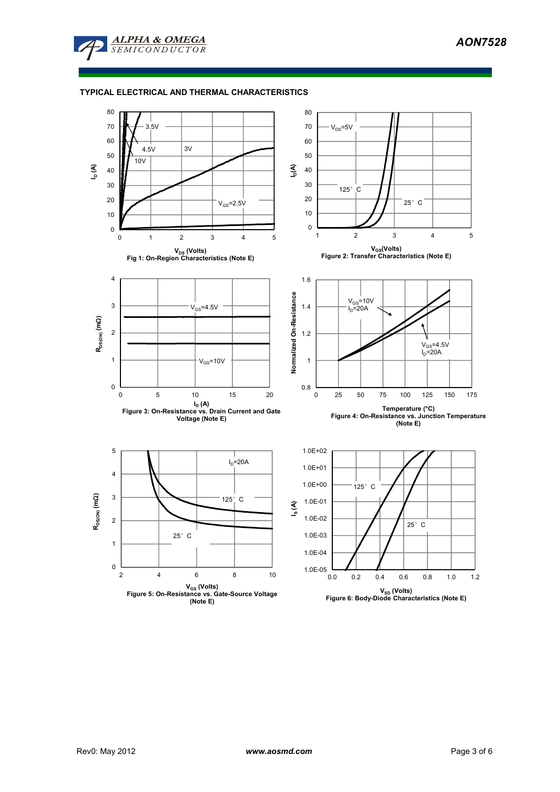

# **TYPICAL ELECTRICAL AND THERMAL CHARACTERISTICS**

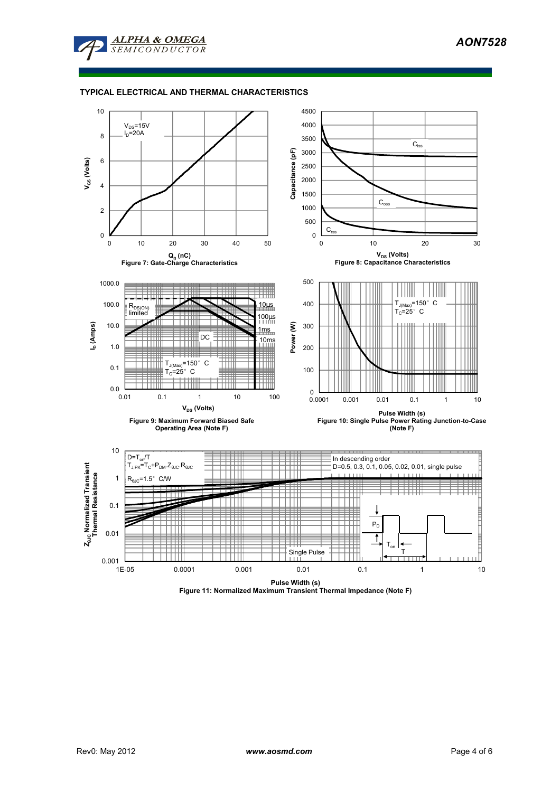

# **TYPICAL ELECTRICAL AND THERMAL CHARACTERISTICS**



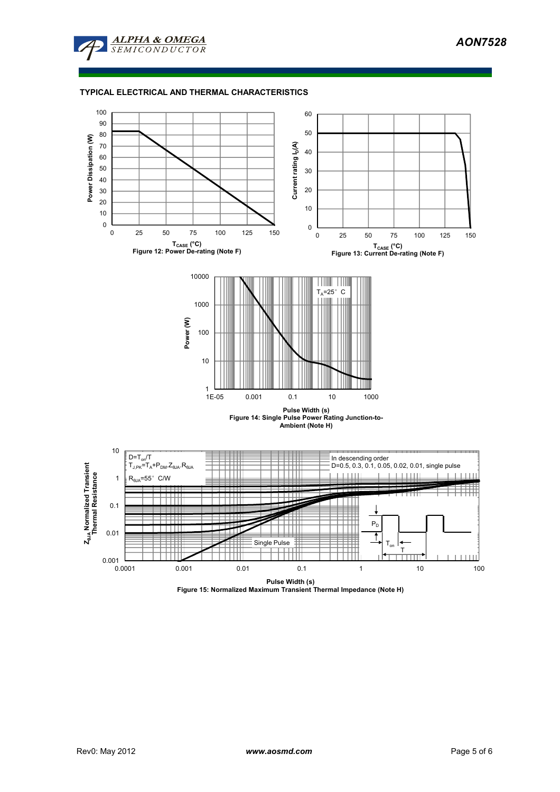

# **TYPICAL ELECTRICAL AND THERMAL CHARACTERISTICS**